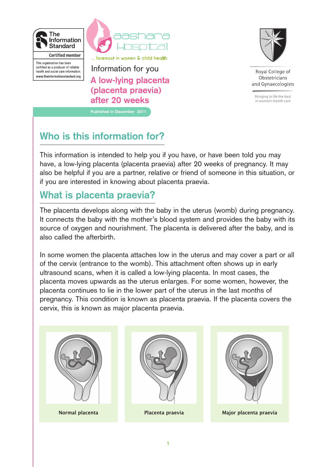



This organisation has been certified as a producer of reliable health and social care information. www.theinformationstandard.org

**A low-lying placenta (placenta praevia)**  Information for you

... foremost in women & child health

**after 20 weeks Published in December 2011**



Roval College of Obstetricians and Gynaecologists

Bringing to life the best in women's health care

**Who is this information for?**

This information is intended to help you if you have, or have been told you may have, a low-lying placenta (placenta praevia) after 20 weeks of pregnancy. It may also be helpful if you are a partner, relative or friend of someone in this situation, or if you are interested in knowing about placenta praevia.

## **What is placenta praevia?**

The placenta develops along with the baby in the uterus (womb) during pregnancy. It connects the baby with the mother's blood system and provides the baby with its source of oxygen and nourishment. The placenta is delivered after the baby, and is also called the afterbirth.

In some women the placenta attaches low in the uterus and may cover a part or all of the cervix (entrance to the womb). This attachment often shows up in early ultrasound scans, when it is called a low-lying placenta. In most cases, the placenta moves upwards as the uterus enlarges. For some women, however, the placenta continues to lie in the lower part of the uterus in the last months of pregnancy. This condition is known as placenta praevia. If the placenta covers the cervix, this is known as major placenta praevia.





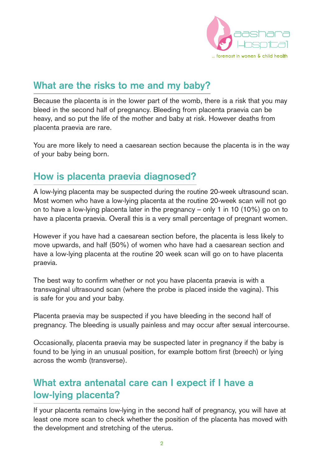

# **What are the risks to me and my baby?**

Because the placenta is in the lower part of the womb, there is a risk that you may bleed in the second half of pregnancy. Bleeding from placenta praevia can be heavy, and so put the life of the mother and baby at risk. However deaths from placenta praevia are rare.

You are more likely to need a caesarean section because the placenta is in the way of your baby being born.

### **How is placenta praevia diagnosed?**

A low-lying placenta may be suspected during the routine 20-week ultrasound scan. Most women who have a low-lying placenta at the routine 20-week scan will not go on to have a low-lying placenta later in the pregnancy – only 1 in 10 (10%) go on to have a placenta praevia. Overall this is a very small percentage of pregnant women.

However if you have had a caesarean section before, the placenta is less likely to move upwards, and half (50%) of women who have had a caesarean section and have a low-lying placenta at the routine 20 week scan will go on to have placenta praevia.

The best way to confirm whether or not you have placenta praevia is with a transvaginal ultrasound scan (where the probe is placed inside the vagina). This is safe for you and your baby.

Placenta praevia may be suspected if you have bleeding in the second half of pregnancy. The bleeding is usually painless and may occur after sexual intercourse.

Occasionally, placenta praevia may be suspected later in pregnancy if the baby is found to be lying in an unusual position, for example bottom first (breech) or lying across the womb (transverse).

# **What extra antenatal care can I expect if I have a low-lying placenta?**

If your placenta remains low-lying in the second half of pregnancy, you will have at least one more scan to check whether the position of the placenta has moved with the development and stretching of the uterus.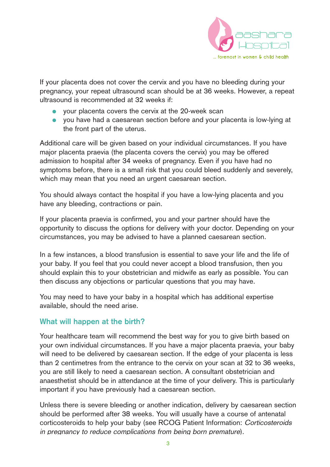

If your placenta does not cover the cervix and you have no bleeding during your pregnancy, your repeat ultrasound scan should be at 36 weeks. However, a repeat ultrasound is recommended at 32 weeks if:

- your placenta covers the cervix at the 20-week scan
- you have had a caesarean section before and your placenta is low-lying at the front part of the uterus.

Additional care will be given based on your individual circumstances. If you have major placenta praevia (the placenta covers the cervix) you may be offered admission to hospital after 34 weeks of pregnancy. Even if you have had no symptoms before, there is a small risk that you could bleed suddenly and severely, which may mean that you need an urgent caesarean section.

You should always contact the hospital if you have a low-lying placenta and you have any bleeding, contractions or pain.

If your placenta praevia is confirmed, you and your partner should have the opportunity to discuss the options for delivery with your doctor. Depending on your circumstances, you may be advised to have a planned caesarean section.

In a few instances, a blood transfusion is essential to save your life and the life of your baby. If you feel that you could never accept a blood transfusion, then you should explain this to your obstetrician and midwife as early as possible. You can then discuss any objections or particular questions that you may have.

You may need to have your baby in a hospital which has additional expertise available, should the need arise.

#### **What will happen at the birth?**

Your healthcare team will recommend the best way for you to give birth based on your own individual circumstances. If you have a major placenta praevia, your baby will need to be delivered by caesarean section. If the edge of your placenta is less than 2 centimetres from the entrance to the cervix on your scan at 32 to 36 weeks, you are still likely to need a caesarean section. A consultant obstetrician and anaesthetist should be in attendance at the time of your delivery. This is particularly important if you have previously had a caesarean section.

Unless there is severe bleeding or another indication, delivery by caesarean section should be performed after 38 weeks. You will usually have a course of antenatal corticosteroids to help your baby (see RCOG Patient Information: Corticosteroids in pregnancy to reduce complications from being born premature).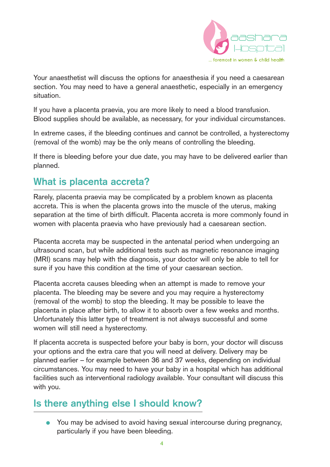

Your anaesthetist will discuss the options for anaesthesia if you need a caesarean section. You may need to have a general anaesthetic, especially in an emergency situation.

If you have a placenta praevia, you are more likely to need a blood transfusion. Blood supplies should be available, as necessary, for your individual circumstances.

In extreme cases, if the bleeding continues and cannot be controlled, a hysterectomy (removal of the womb) may be the only means of controlling the bleeding.

If there is bleeding before your due date, you may have to be delivered earlier than planned.

### **What is placenta accreta?**

Rarely, placenta praevia may be complicated by a problem known as placenta accreta. This is when the placenta grows into the muscle of the uterus, making separation at the time of birth difficult. Placenta accreta is more commonly found in women with placenta praevia who have previously had a caesarean section.

Placenta accreta may be suspected in the antenatal period when undergoing an ultrasound scan, but while additional tests such as magnetic resonance imaging (MRI) scans may help with the diagnosis, your doctor will only be able to tell for sure if you have this condition at the time of your caesarean section.

Placenta accreta causes bleeding when an attempt is made to remove your placenta. The bleeding may be severe and you may require a hysterectomy (removal of the womb) to stop the bleeding. It may be possible to leave the placenta in place after birth, to allow it to absorb over a few weeks and months. Unfortunately this latter type of treatment is not always successful and some women will still need a hysterectomy.

If placenta accreta is suspected before your baby is born, your doctor will discuss your options and the extra care that you will need at delivery. Delivery may be planned earlier – for example between 36 and 37 weeks, depending on individual circumstances. You may need to have your baby in a hospital which has additional facilities such as interventional radiology available. Your consultant will discuss this with you.

# **Is there anything else I should know?**

● You may be advised to avoid having sexual intercourse during pregnancy, particularly if you have been bleeding.